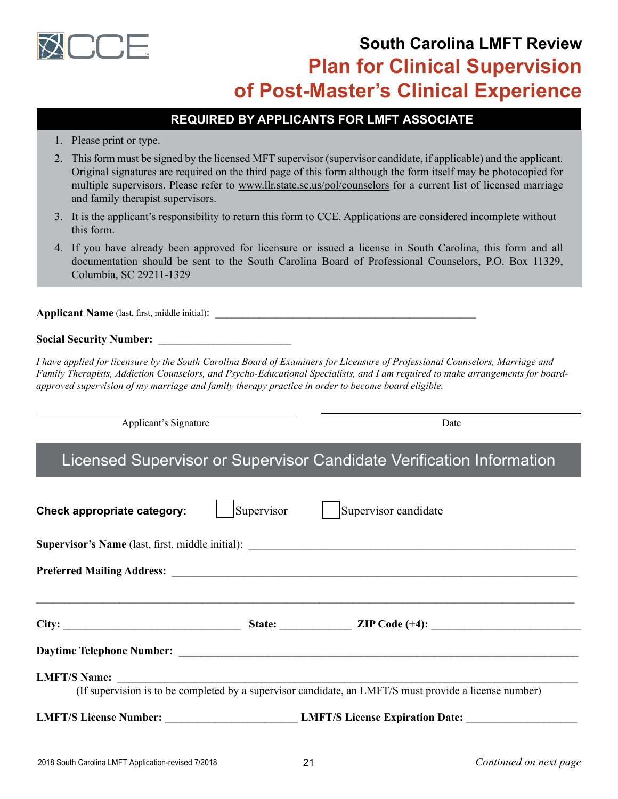

# **South Carolina LMFT Review Plan for Clinical Supervision of Post-Master's Clinical Experience**

## **REQUIRED BY APPLICANTS FOR LMFT ASSOCIATE**

- 1. Please print or type.
- 2. This form must be signed by the licensed MFT supervisor (supervisor candidate, if applicable) and the applicant. Original signatures are required on the third page of this form although the form itself may be photocopied for multiple supervisors. Please refer to www.llr.state.sc.us/pol/counselors for a current list of licensed marriage and family therapist supervisors.
- 3. It is the applicant's responsibility to return this form to CCE. Applications are considered incomplete without this form.
- 4. If you have already been approved for licensure or issued a license in South Carolina, this form and all documentation should be sent to the South Carolina Board of Professional Counselors, P.O. Box 11329, Columbia, SC 29211-1329

**Applicant Name** (last, first, middle initial):

### **Social Security Number:** \_\_\_\_\_\_\_\_\_\_\_\_\_\_\_\_\_\_\_\_\_\_\_\_

*I have applied for licensure by the South Carolina Board of Examiners for Licensure of Professional Counselors, Marriage and Family Therapists, Addiction Counselors, and Psycho-Educational Specialists, and I am required to make arrangements for boardapproved supervision of my marriage and family therapy practice in order to become board eligible.*

Applicant's Signature Date Date Date

# Licensed Supervisor or Supervisor Candidate Verification Information

| Check appropriate category:                                                                                                   | Supervisor | Supervisor candidate                                   |  |  |  |
|-------------------------------------------------------------------------------------------------------------------------------|------------|--------------------------------------------------------|--|--|--|
|                                                                                                                               |            |                                                        |  |  |  |
|                                                                                                                               |            |                                                        |  |  |  |
| City:                                                                                                                         |            |                                                        |  |  |  |
|                                                                                                                               |            |                                                        |  |  |  |
| <b>LMFT/S Name:</b><br>(If supervision is to be completed by a supervisor candidate, an LMFT/S must provide a license number) |            |                                                        |  |  |  |
|                                                                                                                               |            | LMFT/S License Number: LMFT/S License Expiration Date: |  |  |  |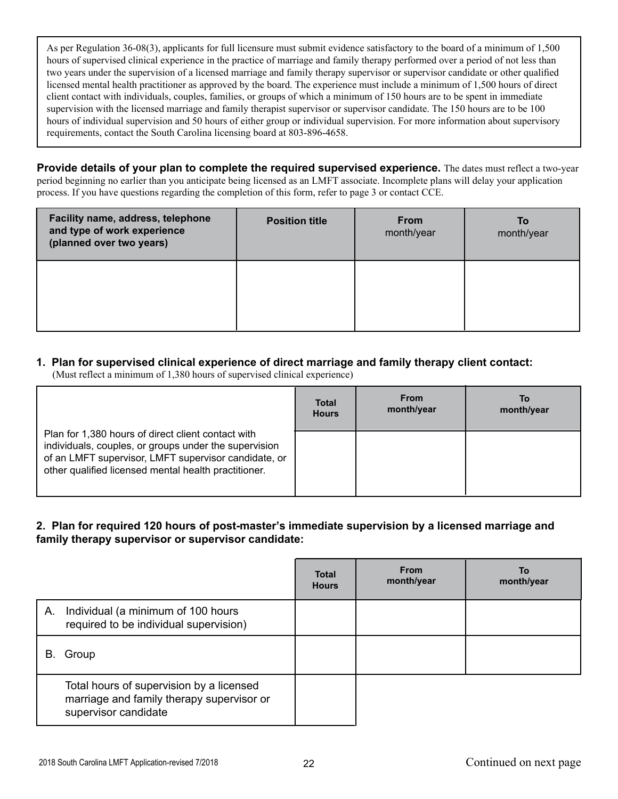As per Regulation 36-08(3), applicants for full licensure must submit evidence satisfactory to the board of a minimum of 1,500 hours of supervised clinical experience in the practice of marriage and family therapy performed over a period of not less than two years under the supervision of a licensed marriage and family therapy supervisor or supervisor candidate or other qualified licensed mental health practitioner as approved by the board. The experience must include a minimum of 1,500 hours of direct client contact with individuals, couples, families, or groups of which a minimum of 150 hours are to be spent in immediate supervision with the licensed marriage and family therapist supervisor or supervisor candidate. The 150 hours are to be 100 hours of individual supervision and 50 hours of either group or individual supervision. For more information about supervisory requirements, contact the South Carolina licensing board at 803-896-4658.

**Provide details of your plan to complete the required supervised experience.** The dates must reflect a two-year period beginning no earlier than you anticipate being licensed as an LMFT associate. Incomplete plans will delay your application process. If you have questions regarding the completion of this form, refer to page 3 or contact CCE.

| Facility name, address, telephone<br>and type of work experience<br>(planned over two years) | <b>Position title</b> | <b>From</b><br>month/year | To<br>month/year |
|----------------------------------------------------------------------------------------------|-----------------------|---------------------------|------------------|
|                                                                                              |                       |                           |                  |

### **1. Plan for supervised clinical experience of direct marriage and family therapy client contact:**

(Must reflect a minimum of 1,380 hours of supervised clinical experience)

|                                                                                                                                                                                                                             | <b>Total</b> | <b>From</b> | То         |
|-----------------------------------------------------------------------------------------------------------------------------------------------------------------------------------------------------------------------------|--------------|-------------|------------|
|                                                                                                                                                                                                                             | <b>Hours</b> | month/year  | month/year |
| Plan for 1,380 hours of direct client contact with<br>individuals, couples, or groups under the supervision<br>of an LMFT supervisor, LMFT supervisor candidate, or<br>other qualified licensed mental health practitioner. |              |             |            |

**2. Plan for required 120 hours of post-master's immediate supervision by a licensed marriage and family therapy supervisor or supervisor candidate:**

|    |                                                                                                               | <b>Total</b><br><b>Hours</b> | <b>From</b><br>month/year | To<br>month/year |
|----|---------------------------------------------------------------------------------------------------------------|------------------------------|---------------------------|------------------|
| Α. | Individual (a minimum of 100 hours<br>required to be individual supervision)                                  |                              |                           |                  |
| В. | Group                                                                                                         |                              |                           |                  |
|    | Total hours of supervision by a licensed<br>marriage and family therapy supervisor or<br>supervisor candidate |                              |                           |                  |